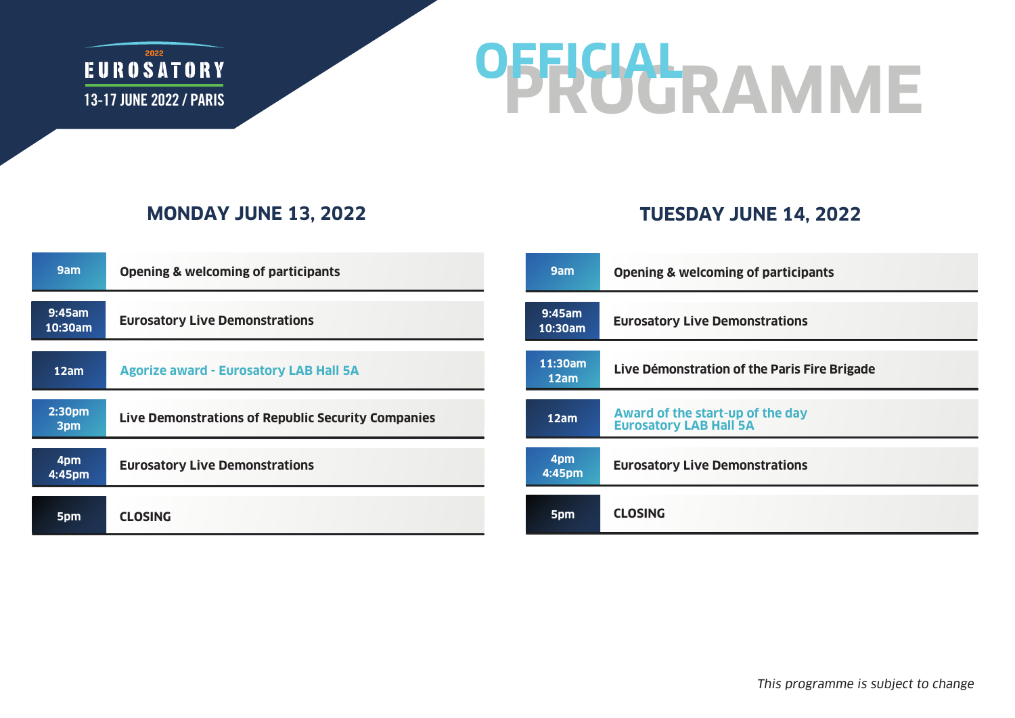

# **PROGRAMME OFFICIAL**

#### **MONDAY JUNE 13, 2022**

### **TUESDAY JUNE 14, 2022**

| 9am               | <b>Opening &amp; welcoming of participants</b>     | 9am                  | <b>Opening &amp; welcoming of participants</b>                    |
|-------------------|----------------------------------------------------|----------------------|-------------------------------------------------------------------|
| 9:45am<br>10:30am | <b>Eurosatory Live Demonstrations</b>              | $9:45$ am<br>10:30am | <b>Eurosatory Live Demonstrations</b>                             |
| 12am              | <b>Agorize award - Eurosatory LAB Hall 5A</b>      | 11:30am<br>12am      | Live Démonstration of the Paris Fire Brigade                      |
| 2:30pm<br>3pm     | Live Demonstrations of Republic Security Companies | 12am                 | Award of the start-up of the day<br><b>Eurosatory LAB Hall 5A</b> |
| 4pm<br>4:45pm     | <b>Eurosatory Live Demonstrations</b>              | 4pm<br>4:45pm        | <b>Eurosatory Live Demonstrations</b>                             |
| 5pm               | <b>CLOSING</b>                                     | 5pm                  | <b>CLOSING</b>                                                    |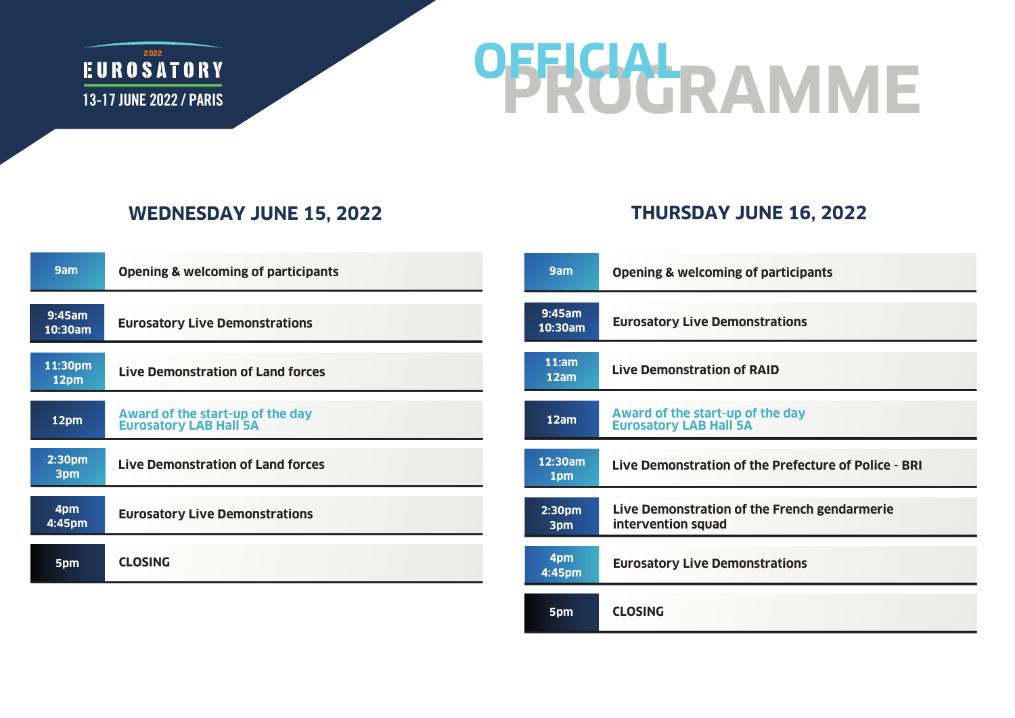

# **PROGRAMME OFFICIAL**

### **WEDNESDAY JUNE 15, 2022**

### **THURSDAY JUNE 16, 2022**

| 9am                  | <b>Opening &amp; welcoming of participants</b>                    | 9am                       | <b>Opening &amp; welcoming of participants</b>                     |
|----------------------|-------------------------------------------------------------------|---------------------------|--------------------------------------------------------------------|
| $9:45$ am<br>10:30am | <b>Eurosatory Live Demonstrations</b>                             | 9:45am<br>10:30am         | <b>Eurosatory Live Demonstrations</b>                              |
| 11:30pm<br>12pm      | <b>Live Demonstration of Land forces</b>                          | 11:am<br>12am             | <b>Live Demonstration of RAID</b>                                  |
| 12pm                 | Award of the start-up of the day<br><b>Eurosatory LAB Hall 5A</b> | 12am                      | Award of the start-up of the day<br><b>Eurosatory LAB Hall 5A</b>  |
| 2:30pm<br>3pm        | <b>Live Demonstration of Land forces</b>                          | 12:30am<br>1pm            | Live Demonstration of the Prefecture of Police - BRI               |
| 4pm<br>4:45pm        | <b>Eurosatory Live Demonstrations</b>                             | 2:30 <sub>pm</sub><br>3pm | Live Demonstration of the French gendarmerie<br>intervention squad |
| 5pm                  | <b>CLOSING</b>                                                    | 4pm<br>4:45pm             | <b>Eurosatory Live Demonstrations</b>                              |
|                      |                                                                   | 5pm                       | <b>CLOSING</b>                                                     |